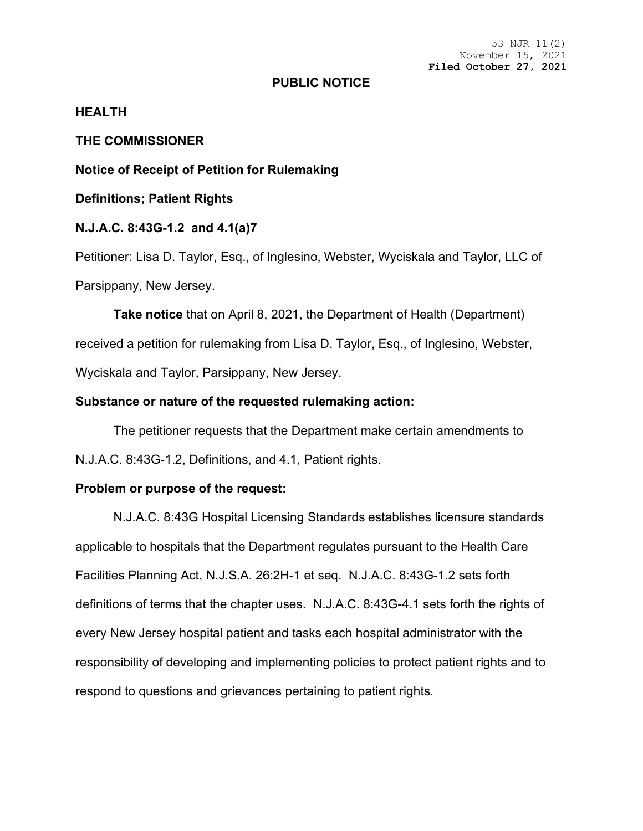53 NJR 11(2) November 15, 2021 **Filed October 27, 2021**

### **PUBLIC NOTICE**

# **HEALTH**

# **THE COMMISSIONER**

**Notice of Receipt of Petition for Rulemaking**

**Definitions; Patient Rights**

## **N.J.A.C. 8:43G-1.2 and 4.1(a)7**

Petitioner: Lisa D. Taylor, Esq., of Inglesino, Webster, Wyciskala and Taylor, LLC of Parsippany, New Jersey.

**Take notice** that on April 8, 2021, the Department of Health (Department) received a petition for rulemaking from Lisa D. Taylor, Esq., of Inglesino, Webster, Wyciskala and Taylor, Parsippany, New Jersey.

### **Substance or nature of the requested rulemaking action:**

The petitioner requests that the Department make certain amendments to N.J.A.C. 8:43G-1.2, Definitions, and 4.1, Patient rights.

#### **Problem or purpose of the request:**

N.J.A.C. 8:43G Hospital Licensing Standards establishes licensure standards applicable to hospitals that the Department regulates pursuant to the Health Care Facilities Planning Act, N.J.S.A. 26:2H-1 et seq. N.J.A.C. 8:43G-1.2 sets forth definitions of terms that the chapter uses. N.J.A.C. 8:43G-4.1 sets forth the rights of every New Jersey hospital patient and tasks each hospital administrator with the responsibility of developing and implementing policies to protect patient rights and to respond to questions and grievances pertaining to patient rights.